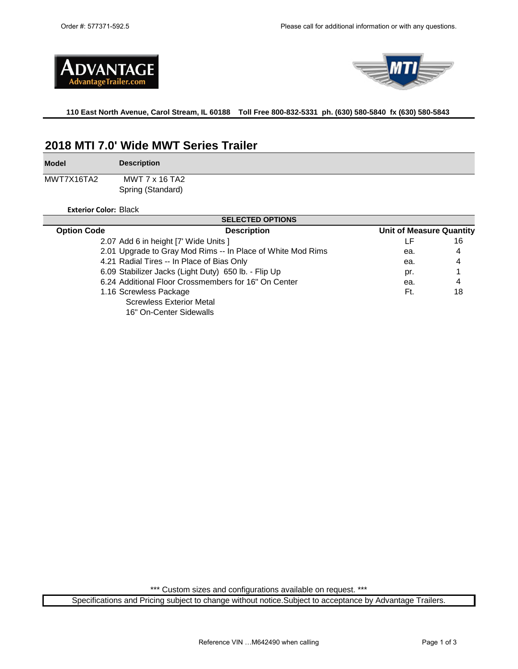



**110 East North Avenue, Carol Stream, IL 60188 Toll Free 800-832-5331 ph. (630) 580-5840 fx (630) 580-5843** 

# **2018 MTI 7.0' Wide MWT Series Trailer**

**Model** MWT7X16TA2 **Description** MWT 7 x 16 TA2

Spring (Standard)

**Exterior Color:** Black

| <b>SELECTED OPTIONS</b>                              |                                                             |                                 |    |  |  |  |  |  |
|------------------------------------------------------|-------------------------------------------------------------|---------------------------------|----|--|--|--|--|--|
| <b>Option Code</b>                                   | <b>Description</b>                                          | <b>Unit of Measure Quantity</b> |    |  |  |  |  |  |
|                                                      | 2.07 Add 6 in height [7' Wide Units ]                       | LF                              | 16 |  |  |  |  |  |
|                                                      | 2.01 Upgrade to Gray Mod Rims -- In Place of White Mod Rims | ea.                             | 4  |  |  |  |  |  |
|                                                      | 4.21 Radial Tires -- In Place of Bias Only                  | ea.                             | 4  |  |  |  |  |  |
| 6.09 Stabilizer Jacks (Light Duty) 650 lb. - Flip Up |                                                             | pr.                             |    |  |  |  |  |  |
| 6.24 Additional Floor Crossmembers for 16" On Center | ea.                                                         | 4                               |    |  |  |  |  |  |
|                                                      | 1.16 Screwless Package                                      | Ft.                             | 18 |  |  |  |  |  |
|                                                      | <b>Screwless Exterior Metal</b>                             |                                 |    |  |  |  |  |  |
|                                                      | 16" On-Center Sidewalls                                     |                                 |    |  |  |  |  |  |

\*\*\* Custom sizes and configurations available on request. \*\*\*

Specifications and Pricing subject to change without notice.Subject to acceptance by Advantage Trailers.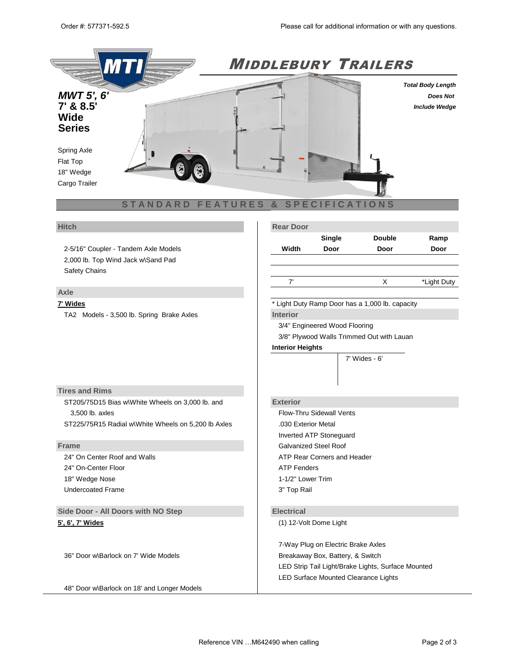

2-5/16" Coupler - Tandem Axle Models 2,000 lb. Top Wind Jack w\Sand Pad Safety Chains

## **Axle**

TA2 Models - 3,500 lb. Spring Brake Axles **Interior**

**Hitch Rear Door** 

|       | Single | <b>Double</b> | Ramp |
|-------|--------|---------------|------|
| Width | Door   | Door          | Door |

7' X \*Light Duty

**7' Wides** \* Light Duty Ramp Door has a 1,000 lb. capacity

3/4" Engineered Wood Flooring

3/8" Plywood Walls Trimmed Out with Lauan

5' Wides - 5' 6" 8.5' Wides - 6' 6"

**Interior Heights**

4' Wides - 4' 7' Wides - 6'

## **Tires and Rims**

ST205/75D15 Bias w\White Wheels on 3,000 lb. and **Exterior** 3,500 lb. axles Flow-Thru Sidewall Vents ST225/75R15 Radial wWhite Wheels on 5,200 lb Axles ...............................

24" On-Center Floor **ATP** Fenders 18" Wedge Nose 1-1/2" Lower Trim Undercoated Frame 3" Top Rail

**Side Door - All Doors with NO Step <b>Electrical** 

36" Door w\Barlock on 7' Wide Models Breakaway Box, Battery, & Switch

48" Door w\Barlock on 18' and Longer Models

Inverted ATP Stoneguard **Frame** Galvanized Steel Roof Roof Reserves and Reserves and Reserves and Galvanized Steel Roof 24" On Center Roof and Walls **ATP Rear Corners and Header** ATP Rear Corners and Header

**5', 6', 7' Wides** (1) 12-Volt Dome Light

7- Way Plug on Electric Brake Axles LED Strip Tail Light/Brake Lights, Surface Mounted LED Surface Mounted Clearance Lights

 $24$  Door wab Plug on 8' Long Models 4-Way Plug on Idler Axles Axles Axles Axles Axles Axles Axles Axles Axles